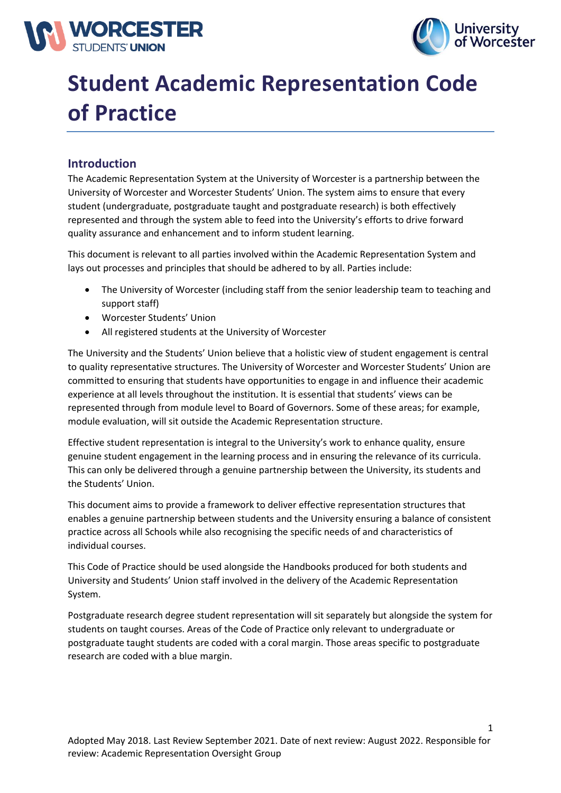



# **Student Academic Representation Code of Practice**

# **Introduction**

The Academic Representation System at the University of Worcester is a partnership between the University of Worcester and Worcester Students' Union. The system aims to ensure that every student (undergraduate, postgraduate taught and postgraduate research) is both effectively represented and through the system able to feed into the University's efforts to drive forward quality assurance and enhancement and to inform student learning.

This document is relevant to all parties involved within the Academic Representation System and lays out processes and principles that should be adhered to by all. Parties include:

- The University of Worcester (including staff from the senior leadership team to teaching and support staff)
- Worcester Students' Union
- All registered students at the University of Worcester

The University and the Students' Union believe that a holistic view of student engagement is central to quality representative structures. The University of Worcester and Worcester Students' Union are committed to ensuring that students have opportunities to engage in and influence their academic experience at all levels throughout the institution. It is essential that students' views can be represented through from module level to Board of Governors. Some of these areas; for example, module evaluation, will sit outside the Academic Representation structure.

Effective student representation is integral to the University's work to enhance quality, ensure genuine student engagement in the learning process and in ensuring the relevance of its curricula. This can only be delivered through a genuine partnership between the University, its students and the Students' Union.

This document aims to provide a framework to deliver effective representation structures that enables a genuine partnership between students and the University ensuring a balance of consistent practice across all Schools while also recognising the specific needs of and characteristics of individual courses.

This Code of Practice should be used alongside the Handbooks produced for both students and University and Students' Union staff involved in the delivery of the Academic Representation System.

Postgraduate research degree student representation will sit separately but alongside the system for students on taught courses. Areas of the Code of Practice only relevant to undergraduate or postgraduate taught students are coded with a coral margin. Those areas specific to postgraduate research are coded with a blue margin.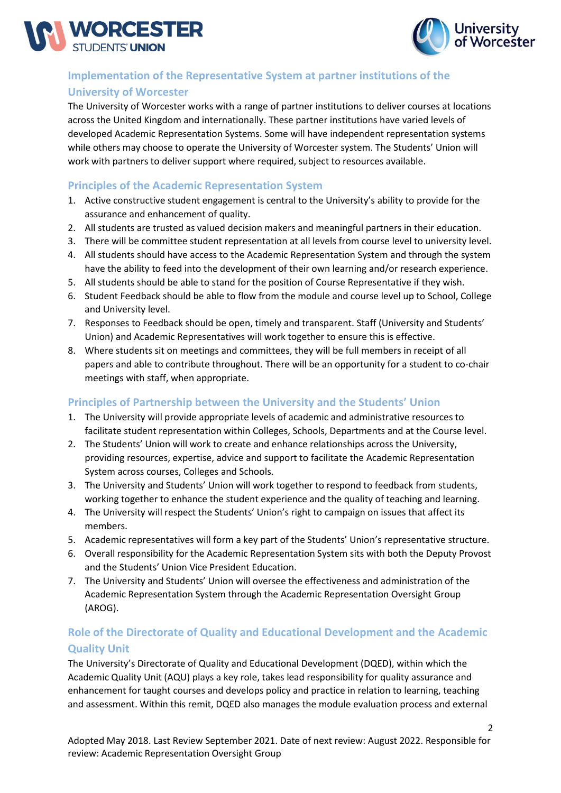



# **Implementation of the Representative System at partner institutions of the University of Worcester**

The University of Worcester works with a range of partner institutions to deliver courses at locations across the United Kingdom and internationally. These partner institutions have varied levels of developed Academic Representation Systems. Some will have independent representation systems while others may choose to operate the University of Worcester system. The Students' Union will work with partners to deliver support where required, subject to resources available.

# **Principles of the Academic Representation System**

- 1. Active constructive student engagement is central to the University's ability to provide for the assurance and enhancement of quality.
- 2. All students are trusted as valued decision makers and meaningful partners in their education.
- 3. There will be committee student representation at all levels from course level to university level.
- 4. All students should have access to the Academic Representation System and through the system have the ability to feed into the development of their own learning and/or research experience.
- 5. All students should be able to stand for the position of Course Representative if they wish.
- 6. Student Feedback should be able to flow from the module and course level up to School, College and University level.
- 7. Responses to Feedback should be open, timely and transparent. Staff (University and Students' Union) and Academic Representatives will work together to ensure this is effective.
- 8. Where students sit on meetings and committees, they will be full members in receipt of all papers and able to contribute throughout. There will be an opportunity for a student to co-chair meetings with staff, when appropriate.

# **Principles of Partnership between the University and the Students' Union**

- 1. The University will provide appropriate levels of academic and administrative resources to facilitate student representation within Colleges, Schools, Departments and at the Course level.
- 2. The Students' Union will work to create and enhance relationships across the University, providing resources, expertise, advice and support to facilitate the Academic Representation System across courses, Colleges and Schools.
- 3. The University and Students' Union will work together to respond to feedback from students, working together to enhance the student experience and the quality of teaching and learning.
- 4. The University will respect the Students' Union's right to campaign on issues that affect its members.
- 5. Academic representatives will form a key part of the Students' Union's representative structure.
- 6. Overall responsibility for the Academic Representation System sits with both the Deputy Provost and the Students' Union Vice President Education.
- 7. The University and Students' Union will oversee the effectiveness and administration of the Academic Representation System through the Academic Representation Oversight Group (AROG).

# **Role of the Directorate of Quality and Educational Development and the Academic Quality Unit**

The University's Directorate of Quality and Educational Development (DQED), within which the Academic Quality Unit (AQU) plays a key role, takes lead responsibility for quality assurance and enhancement for taught courses and develops policy and practice in relation to learning, teaching and assessment. Within this remit, DQED also manages the module evaluation process and external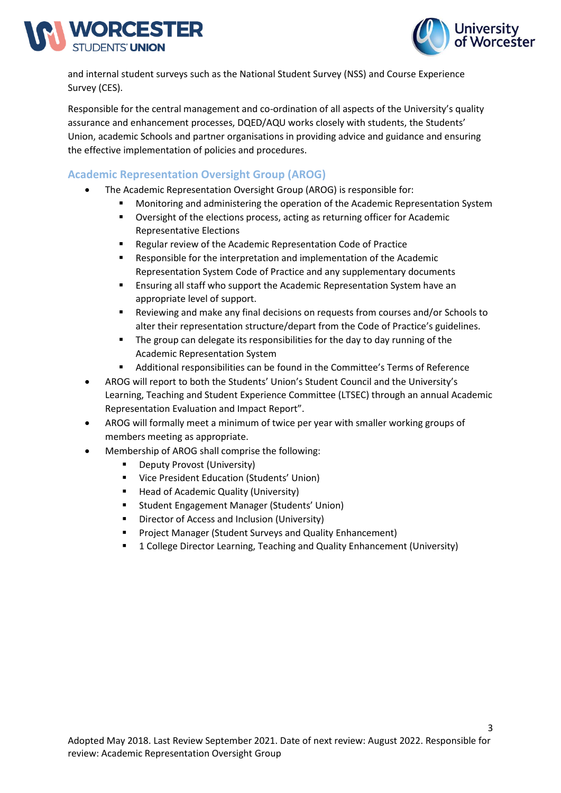



and internal student surveys such as the National Student Survey (NSS) and Course Experience Survey (CES).

Responsible for the central management and co-ordination of all aspects of the University's quality assurance and enhancement processes, DQED/AQU works closely with students, the Students' Union, academic Schools and partner organisations in providing advice and guidance and ensuring the effective implementation of policies and procedures.

# **Academic Representation Oversight Group (AROG)**

- The Academic Representation Oversight Group (AROG) is responsible for:
	- Monitoring and administering the operation of the Academic Representation System
	- Oversight of the elections process, acting as returning officer for Academic Representative Elections
	- Regular review of the Academic Representation Code of Practice
	- Responsible for the interpretation and implementation of the Academic Representation System Code of Practice and any supplementary documents
	- Ensuring all staff who support the Academic Representation System have an appropriate level of support.
	- Reviewing and make any final decisions on requests from courses and/or Schools to alter their representation structure/depart from the Code of Practice's guidelines.
	- The group can delegate its responsibilities for the day to day running of the Academic Representation System
	- Additional responsibilities can be found in the Committee's Terms of Reference
- AROG will report to both the Students' Union's Student Council and the University's Learning, Teaching and Student Experience Committee (LTSEC) through an annual Academic Representation Evaluation and Impact Report".
- AROG will formally meet a minimum of twice per year with smaller working groups of members meeting as appropriate.
- Membership of AROG shall comprise the following:
	- **Deputy Provost (University)**
	- Vice President Education (Students' Union)
	- Head of Academic Quality (University)
	- Student Engagement Manager (Students' Union)
	- Director of Access and Inclusion (University)
	- Project Manager (Student Surveys and Quality Enhancement)
	- 1 College Director Learning, Teaching and Quality Enhancement (University)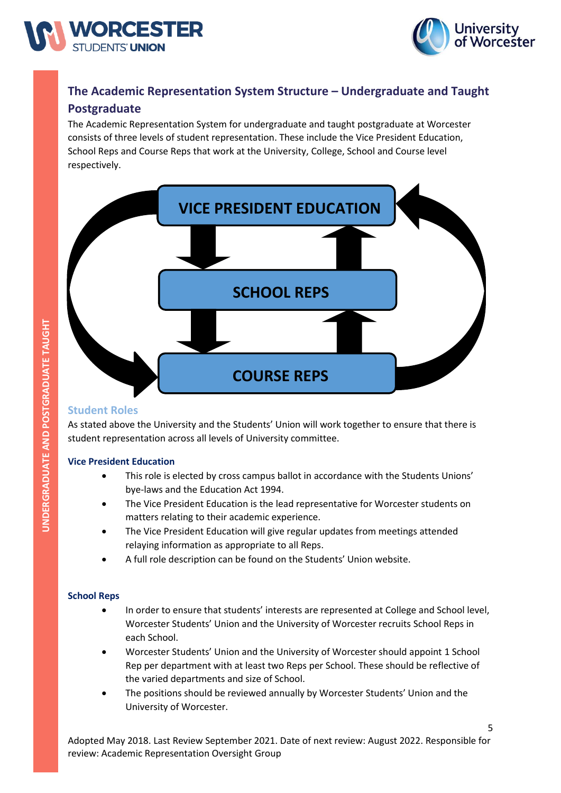



# **The Academic Representation System Structure – Undergraduate and Taught Postgraduate**

The Academic Representation System for undergraduate and taught postgraduate at Worcester consists of three levels of student representation. These include the Vice President Education, School Reps and Course Reps that work at the University, College, School and Course level respectively.



# **Student Roles**

As stated above the University and the Students' Union will work together to ensure that there is student representation across all levels of University committee.

#### **Vice President Education**

- This role is elected by cross campus ballot in accordance with the Students Unions' bye-laws and the Education Act 1994.
- The Vice President Education is the lead representative for Worcester students on matters relating to their academic experience.
- The Vice President Education will give regular updates from meetings attended relaying information as appropriate to all Reps.
- A full role description can be found on the Students' Union website.

#### **School Reps**

- In order to ensure that students' interests are represented at College and School level, Worcester Students' Union and the University of Worcester recruits School Reps in each School.
- Worcester Students' Union and the University of Worcester should appoint 1 School Rep per department with at least two Reps per School. These should be reflective of the varied departments and size of School.
- The positions should be reviewed annually by Worcester Students' Union and the University of Worcester.

Adopted May 2018. Last Review September 2021. Date of next review: August 2022. Responsible for review: Academic Representation Oversight Group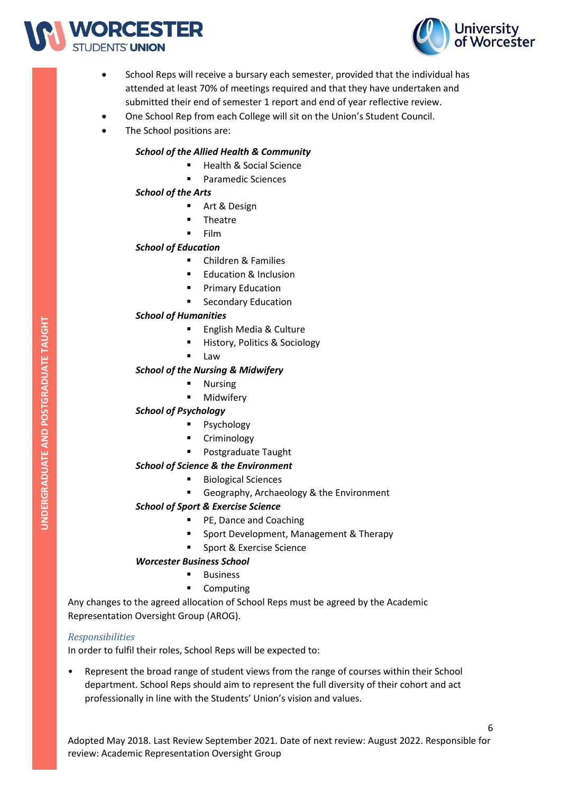



- School Reps will receive a bursary each semester, provided that the individual has attended at least 70% of meetings required and that they have undertaken and submitted their end of semester 1 report and end of year reflective review.
- One School Rep from each College will sit on the Union's Student Council.
- The School positions are:

#### *School of the Allied Health & Community*

- Health & Social Science
- Paramedic Sciences

#### *School of the Arts*

- Art & Design
- **Theatre**
- **Film**

# *School of Education*

- Children & Families
- Education & Inclusion
- **Primary Education**
- **Secondary Education**

# *School of Humanities*

- English Media & Culture
- History, Politics & Sociology
- Law

#### *School of the Nursing & Midwifery*

- **Nursing**
- **Midwifery**

# *School of Psychology*

- Psychology
- **Criminology**
- Postgraduate Taught

# *School of Science & the Environment*

- Biological Sciences
- Geography, Archaeology & the Environment

# *School of Sport & Exercise Science*

- PE, Dance and Coaching
- Sport Development, Management & Therapy
- Sport & Exercise Science

# *Worcester Business School*

- Business
- Computing

Any changes to the agreed allocation of School Reps must be agreed by the Academic Representation Oversight Group (AROG).

# *Responsibilities*

In order to fulfil their roles, School Reps will be expected to:

• Represent the broad range of student views from the range of courses within their School department. School Reps should aim to represent the full diversity of their cohort and act professionally in line with the Students' Union's vision and values.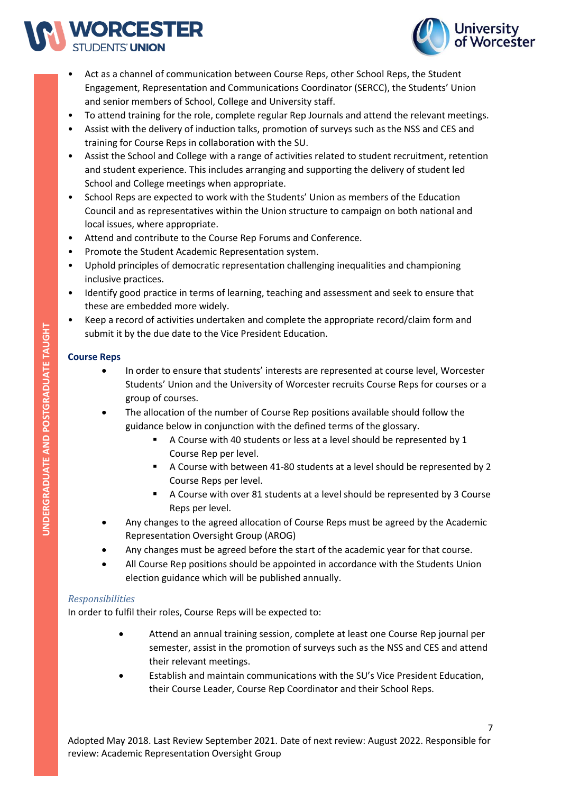



- Act as a channel of communication between Course Reps, other School Reps, the Student Engagement, Representation and Communications Coordinator (SERCC), the Students' Union and senior members of School, College and University staff.
- To attend training for the role, complete regular Rep Journals and attend the relevant meetings.
- Assist with the delivery of induction talks, promotion of surveys such as the NSS and CES and training for Course Reps in collaboration with the SU.
- Assist the School and College with a range of activities related to student recruitment, retention and student experience. This includes arranging and supporting the delivery of student led School and College meetings when appropriate.
- School Reps are expected to work with the Students' Union as members of the Education Council and as representatives within the Union structure to campaign on both national and local issues, where appropriate.
- Attend and contribute to the Course Rep Forums and Conference.
- Promote the Student Academic Representation system.
- Uphold principles of democratic representation challenging inequalities and championing inclusive practices.
- Identify good practice in terms of learning, teaching and assessment and seek to ensure that these are embedded more widely.
- Keep a record of activities undertaken and complete the appropriate record/claim form and submit it by the due date to the Vice President Education.

# **Course Reps**

- In order to ensure that students' interests are represented at course level, Worcester Students' Union and the University of Worcester recruits Course Reps for courses or a group of courses.
- The allocation of the number of Course Rep positions available should follow the guidance below in conjunction with the defined terms of the glossary.
	- A Course with 40 students or less at a level should be represented by 1 Course Rep per level.
	- A Course with between 41-80 students at a level should be represented by 2 Course Reps per level.
	- A Course with over 81 students at a level should be represented by 3 Course Reps per level.
- Any changes to the agreed allocation of Course Reps must be agreed by the Academic Representation Oversight Group (AROG)
- Any changes must be agreed before the start of the academic year for that course.
- All Course Rep positions should be appointed in accordance with the Students Union election guidance which will be published annually.

# *Responsibilities*

In order to fulfil their roles, Course Reps will be expected to:

- Attend an annual training session, complete at least one Course Rep journal per semester, assist in the promotion of surveys such as the NSS and CES and attend their relevant meetings.
- Establish and maintain communications with the SU's Vice President Education, their Course Leader, Course Rep Coordinator and their School Reps.

UNDERGRADUATE AND POSTGRADUATE TAUGHT **UNDERGRADUATE AND POSTGRADUATE TAUGHT**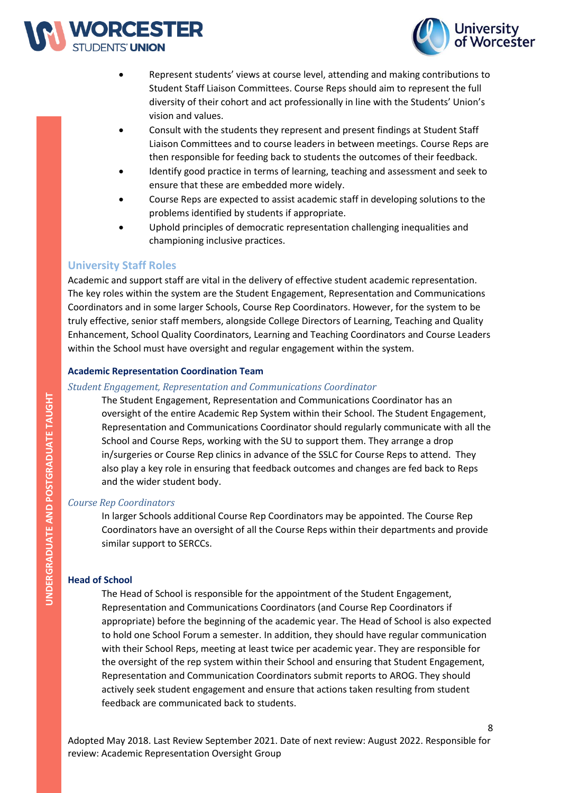



- Represent students' views at course level, attending and making contributions to Student Staff Liaison Committees. Course Reps should aim to represent the full diversity of their cohort and act professionally in line with the Students' Union's vision and values.
- Consult with the students they represent and present findings at Student Staff Liaison Committees and to course leaders in between meetings. Course Reps are then responsible for feeding back to students the outcomes of their feedback.
- Identify good practice in terms of learning, teaching and assessment and seek to ensure that these are embedded more widely.
- Course Reps are expected to assist academic staff in developing solutions to the problems identified by students if appropriate.
- Uphold principles of democratic representation challenging inequalities and championing inclusive practices.

# **University Staff Roles**

Academic and support staff are vital in the delivery of effective student academic representation. The key roles within the system are the Student Engagement, Representation and Communications Coordinators and in some larger Schools, Course Rep Coordinators. However, for the system to be truly effective, senior staff members, alongside College Directors of Learning, Teaching and Quality Enhancement, School Quality Coordinators, Learning and Teaching Coordinators and Course Leaders within the School must have oversight and regular engagement within the system.

#### **Academic Representation Coordination Team**

#### *Student Engagement, Representation and Communications Coordinator*

The Student Engagement, Representation and Communications Coordinator has an oversight of the entire Academic Rep System within their School. The Student Engagement, Representation and Communications Coordinator should regularly communicate with all the School and Course Reps, working with the SU to support them. They arrange a drop in/surgeries or Course Rep clinics in advance of the SSLC for Course Reps to attend. They also play a key role in ensuring that feedback outcomes and changes are fed back to Reps and the wider student body.

#### *Course Rep Coordinators*

In larger Schools additional Course Rep Coordinators may be appointed. The Course Rep Coordinators have an oversight of all the Course Reps within their departments and provide similar support to SERCCs.

#### **Head of School**

The Head of School is responsible for the appointment of the Student Engagement, Representation and Communications Coordinators (and Course Rep Coordinators if appropriate) before the beginning of the academic year. The Head of School is also expected to hold one School Forum a semester. In addition, they should have regular communication with their School Reps, meeting at least twice per academic year. They are responsible for the oversight of the rep system within their School and ensuring that Student Engagement, Representation and Communication Coordinators submit reports to AROG. They should actively seek student engagement and ensure that actions taken resulting from student feedback are communicated back to students.

Adopted May 2018. Last Review September 2021. Date of next review: August 2022. Responsible for review: Academic Representation Oversight Group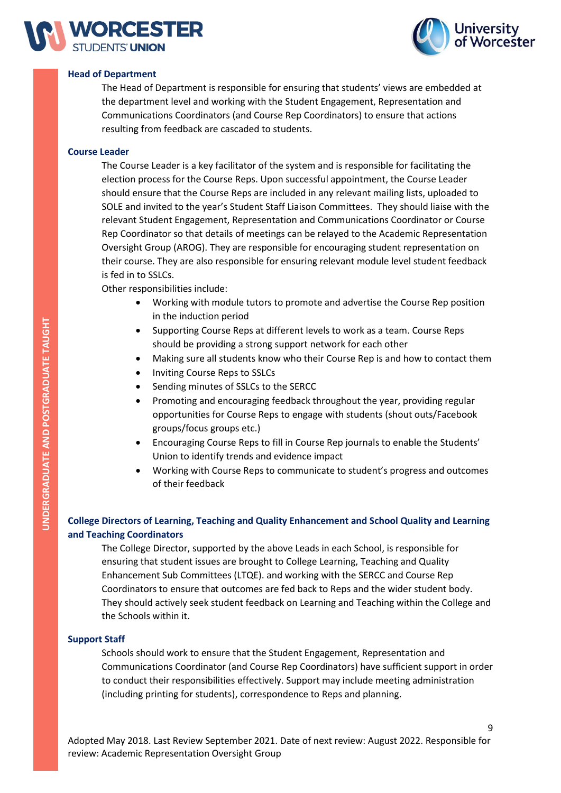



#### **Head of Department**

The Head of Department is responsible for ensuring that students' views are embedded at the department level and working with the Student Engagement, Representation and Communications Coordinators (and Course Rep Coordinators) to ensure that actions resulting from feedback are cascaded to students.

#### **Course Leader**

The Course Leader is a key facilitator of the system and is responsible for facilitating the election process for the Course Reps. Upon successful appointment, the Course Leader should ensure that the Course Reps are included in any relevant mailing lists, uploaded to SOLE and invited to the year's Student Staff Liaison Committees. They should liaise with the relevant Student Engagement, Representation and Communications Coordinator or Course Rep Coordinator so that details of meetings can be relayed to the Academic Representation Oversight Group (AROG). They are responsible for encouraging student representation on their course. They are also responsible for ensuring relevant module level student feedback is fed in to SSLCs.

Other responsibilities include:

- Working with module tutors to promote and advertise the Course Rep position in the induction period
- Supporting Course Reps at different levels to work as a team. Course Reps should be providing a strong support network for each other
- Making sure all students know who their Course Rep is and how to contact them
- Inviting Course Reps to SSLCs
- Sending minutes of SSLCs to the SERCC
- Promoting and encouraging feedback throughout the year, providing regular opportunities for Course Reps to engage with students (shout outs/Facebook groups/focus groups etc.)
- Encouraging Course Reps to fill in Course Rep journals to enable the Students' Union to identify trends and evidence impact
- Working with Course Reps to communicate to student's progress and outcomes of their feedback

# **College Directors of Learning, Teaching and Quality Enhancement and School Quality and Learning and Teaching Coordinators**

The College Director, supported by the above Leads in each School, is responsible for ensuring that student issues are brought to College Learning, Teaching and Quality Enhancement Sub Committees (LTQE). and working with the SERCC and Course Rep Coordinators to ensure that outcomes are fed back to Reps and the wider student body. They should actively seek student feedback on Learning and Teaching within the College and the Schools within it.

#### **Support Staff**

Schools should work to ensure that the Student Engagement, Representation and Communications Coordinator (and Course Rep Coordinators) have sufficient support in order to conduct their responsibilities effectively. Support may include meeting administration (including printing for students), correspondence to Reps and planning.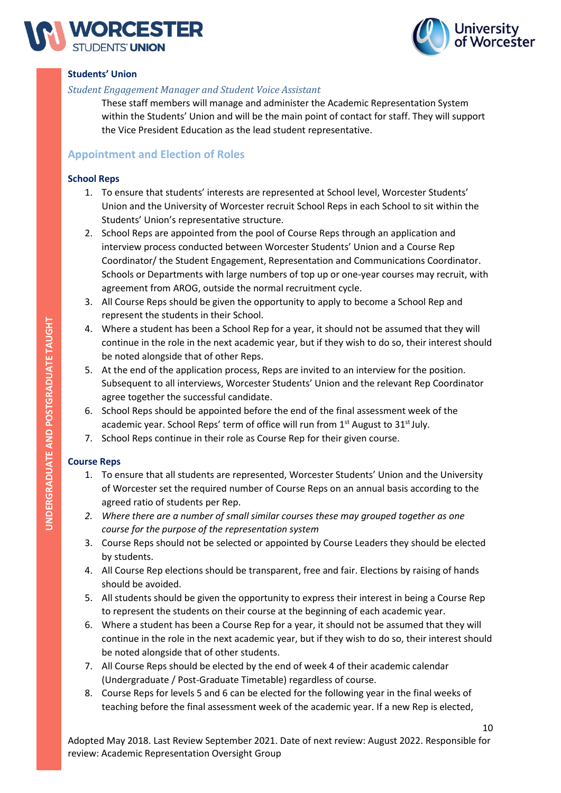



#### **Students' Union**

#### *Student Engagement Manager and Student Voice Assistant*

These staff members will manage and administer the Academic Representation System within the Students' Union and will be the main point of contact for staff. They will support the Vice President Education as the lead student representative.

# **Appointment and Election of Roles**

#### **School Reps**

- 1. To ensure that students' interests are represented at School level, Worcester Students' Union and the University of Worcester recruit School Reps in each School to sit within the Students' Union's representative structure.
- 2. School Reps are appointed from the pool of Course Reps through an application and interview process conducted between Worcester Students' Union and a Course Rep Coordinator/ the Student Engagement, Representation and Communications Coordinator. Schools or Departments with large numbers of top up or one-year courses may recruit, with agreement from AROG, outside the normal recruitment cycle.
- 3. All Course Reps should be given the opportunity to apply to become a School Rep and represent the students in their School.
- 4. Where a student has been a School Rep for a year, it should not be assumed that they will continue in the role in the next academic year, but if they wish to do so, their interest should be noted alongside that of other Reps.
- 5. At the end of the application process, Reps are invited to an interview for the position. Subsequent to all interviews, Worcester Students' Union and the relevant Rep Coordinator agree together the successful candidate.
- 6. School Reps should be appointed before the end of the final assessment week of the academic year. School Reps' term of office will run from 1<sup>st</sup> August to 31<sup>st</sup> July.
- 7. School Reps continue in their role as Course Rep for their given course.

# **Course Reps**

- 1. To ensure that all students are represented, Worcester Students' Union and the University of Worcester set the required number of Course Reps on an annual basis according to the agreed ratio of students per Rep.
- *2. Where there are a number of small similar courses these may grouped together as one course for the purpose of the representation system*
- 3. Course Reps should not be selected or appointed by Course Leaders they should be elected by students.
- 4. All Course Rep elections should be transparent, free and fair. Elections by raising of hands should be avoided.
- 5. All students should be given the opportunity to express their interest in being a Course Rep to represent the students on their course at the beginning of each academic year.
- 6. Where a student has been a Course Rep for a year, it should not be assumed that they will continue in the role in the next academic year, but if they wish to do so, their interest should be noted alongside that of other students.
- 7. All Course Reps should be elected by the end of week 4 of their academic calendar (Undergraduate / Post-Graduate Timetable) regardless of course.
- 8. Course Reps for levels 5 and 6 can be elected for the following year in the final weeks of teaching before the final assessment week of the academic year. If a new Rep is elected,

Adopted May 2018. Last Review September 2021. Date of next review: August 2022. Responsible for review: Academic Representation Oversight Group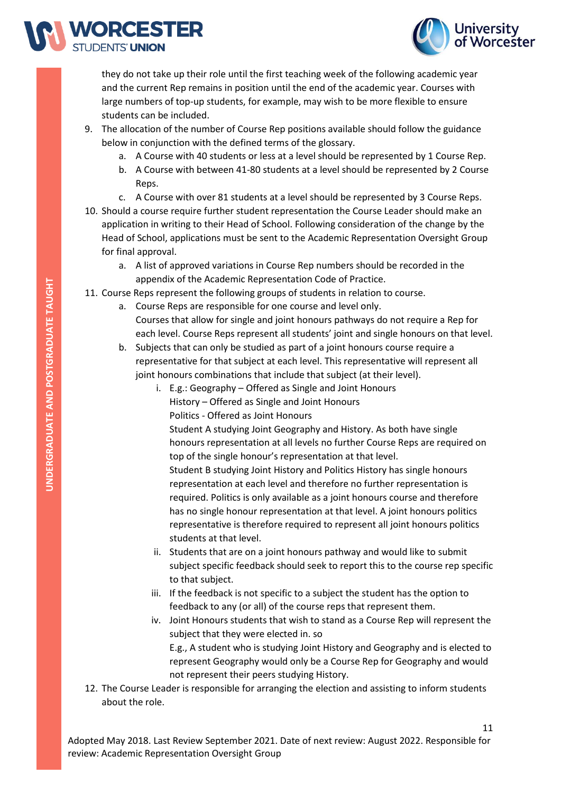



they do not take up their role until the first teaching week of the following academic year and the current Rep remains in position until the end of the academic year. Courses with large numbers of top-up students, for example, may wish to be more flexible to ensure students can be included.

- 9. The allocation of the number of Course Rep positions available should follow the guidance below in conjunction with the defined terms of the glossary.
	- a. A Course with 40 students or less at a level should be represented by 1 Course Rep.
	- b. A Course with between 41-80 students at a level should be represented by 2 Course Reps.
	- c. A Course with over 81 students at a level should be represented by 3 Course Reps.
- 10. Should a course require further student representation the Course Leader should make an application in writing to their Head of School. Following consideration of the change by the Head of School, applications must be sent to the Academic Representation Oversight Group for final approval.
	- a. A list of approved variations in Course Rep numbers should be recorded in the appendix of the Academic Representation Code of Practice.
- 11. Course Reps represent the following groups of students in relation to course.
	- a. Course Reps are responsible for one course and level only.
		- Courses that allow for single and joint honours pathways do not require a Rep for each level. Course Reps represent all students' joint and single honours on that level.
		- b. Subjects that can only be studied as part of a joint honours course require a representative for that subject at each level. This representative will represent all joint honours combinations that include that subject (at their level).
			- i. E.g.: Geography Offered as Single and Joint Honours
				- History Offered as Single and Joint Honours
					- Politics Offered as Joint Honours

Student A studying Joint Geography and History. As both have single honours representation at all levels no further Course Reps are required on top of the single honour's representation at that level.

Student B studying Joint History and Politics History has single honours representation at each level and therefore no further representation is required. Politics is only available as a joint honours course and therefore has no single honour representation at that level. A joint honours politics representative is therefore required to represent all joint honours politics students at that level.

- ii. Students that are on a joint honours pathway and would like to submit subject specific feedback should seek to report this to the course rep specific to that subject.
- iii. If the feedback is not specific to a subject the student has the option to feedback to any (or all) of the course reps that represent them.
- iv. Joint Honours students that wish to stand as a Course Rep will represent the subject that they were elected in. so E.g., A student who is studying Joint History and Geography and is elected to represent Geography would only be a Course Rep for Geography and would not represent their peers studying History.
- 12. The Course Leader is responsible for arranging the election and assisting to inform students about the role.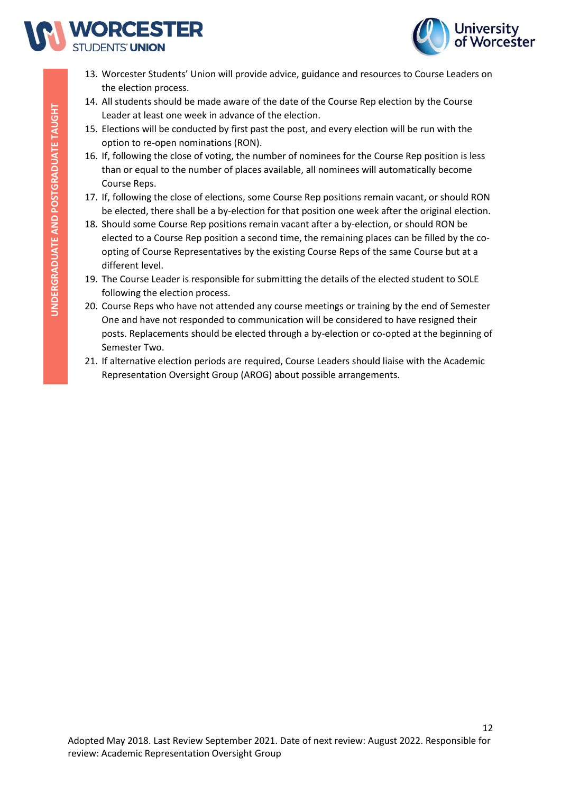



- 13. Worcester Students' Union will provide advice, guidance and resources to Course Leaders on the election process.
- 14. All students should be made aware of the date of the Course Rep election by the Course Leader at least one week in advance of the election.
- 15. Elections will be conducted by first past the post, and every election will be run with the option to re-open nominations (RON).
- 16. If, following the close of voting, the number of nominees for the Course Rep position is less than or equal to the number of places available, all nominees will automatically become Course Reps.
- 17. If, following the close of elections, some Course Rep positions remain vacant, or should RON be elected, there shall be a by-election for that position one week after the original election.
- 18. Should some Course Rep positions remain vacant after a by-election, or should RON be elected to a Course Rep position a second time, the remaining places can be filled by the coopting of Course Representatives by the existing Course Reps of the same Course but at a different level.
- 19. The Course Leader is responsible for submitting the details of the elected student to SOLE following the election process.
- 20. Course Reps who have not attended any course meetings or training by the end of Semester One and have not responded to communication will be considered to have resigned their posts. Replacements should be elected through a by-election or co-opted at the beginning of Semester Two.
- 21. If alternative election periods are required, Course Leaders should liaise with the Academic Representation Oversight Group (AROG) about possible arrangements.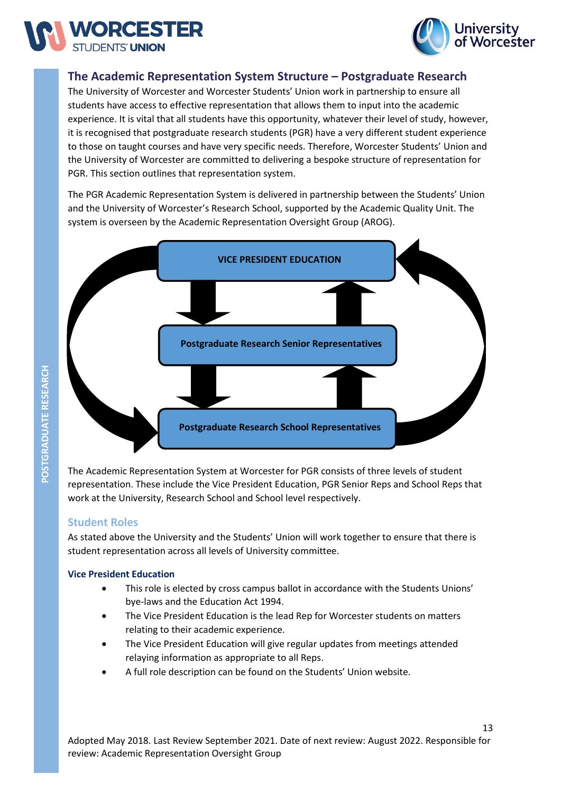



# **The Academic Representation System Structure – Postgraduate Research**

The University of Worcester and Worcester Students' Union work in partnership to ensure all students have access to effective representation that allows them to input into the academic experience. It is vital that all students have this opportunity, whatever their level of study, however, it is recognised that postgraduate research students (PGR) have a very different student experience to those on taught courses and have very specific needs. Therefore, Worcester Students' Union and the University of Worcester are committed to delivering a bespoke structure of representation for PGR. This section outlines that representation system.

The PGR Academic Representation System is delivered in partnership between the Students' Union and the University of Worcester's Research School, supported by the Academic Quality Unit. The system is overseen by the Academic Representation Oversight Group (AROG).



The Academic Representation System at Worcester for PGR consists of three levels of student representation. These include the Vice President Education, PGR Senior Reps and School Reps that work at the University, Research School and School level respectively.

# **Student Roles**

As stated above the University and the Students' Union will work together to ensure that there is student representation across all levels of University committee.

#### **Vice President Education**

- This role is elected by cross campus ballot in accordance with the Students Unions' bye-laws and the Education Act 1994.
- The Vice President Education is the lead Rep for Worcester students on matters relating to their academic experience.
- The Vice President Education will give regular updates from meetings attended relaying information as appropriate to all Reps.
- A full role description can be found on the Students' Union website.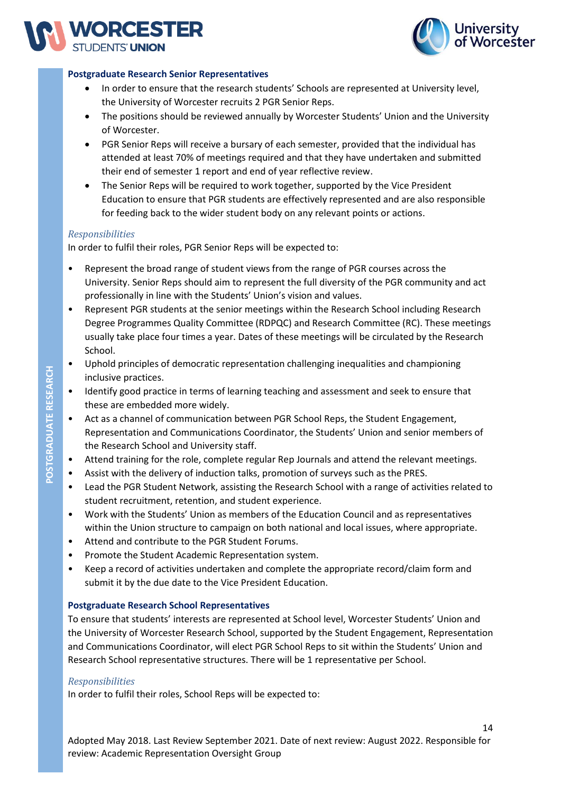



#### **Postgraduate Research Senior Representatives**

- In order to ensure that the research students' Schools are represented at University level, the University of Worcester recruits 2 PGR Senior Reps.
- The positions should be reviewed annually by Worcester Students' Union and the University of Worcester.
- PGR Senior Reps will receive a bursary of each semester, provided that the individual has attended at least 70% of meetings required and that they have undertaken and submitted their end of semester 1 report and end of year reflective review.
- The Senior Reps will be required to work together, supported by the Vice President Education to ensure that PGR students are effectively represented and are also responsible for feeding back to the wider student body on any relevant points or actions.

#### *Responsibilities*

In order to fulfil their roles, PGR Senior Reps will be expected to:

- Represent the broad range of student views from the range of PGR courses across the University. Senior Reps should aim to represent the full diversity of the PGR community and act professionally in line with the Students' Union's vision and values.
- Represent PGR students at the senior meetings within the Research School including Research Degree Programmes Quality Committee (RDPQC) and Research Committee (RC). These meetings usually take place four times a year. Dates of these meetings will be circulated by the Research School.
- Uphold principles of democratic representation challenging inequalities and championing inclusive practices.
- Identify good practice in terms of learning teaching and assessment and seek to ensure that these are embedded more widely.
- Act as a channel of communication between PGR School Reps, the Student Engagement, Representation and Communications Coordinator, the Students' Union and senior members of the Research School and University staff.
- Attend training for the role, complete regular Rep Journals and attend the relevant meetings.
- Assist with the delivery of induction talks, promotion of surveys such as the PRES.
- Lead the PGR Student Network, assisting the Research School with a range of activities related to student recruitment, retention, and student experience.
- Work with the Students' Union as members of the Education Council and as representatives within the Union structure to campaign on both national and local issues, where appropriate.
- Attend and contribute to the PGR Student Forums.
- Promote the Student Academic Representation system.
- Keep a record of activities undertaken and complete the appropriate record/claim form and submit it by the due date to the Vice President Education.

#### **Postgraduate Research School Representatives**

To ensure that students' interests are represented at School level, Worcester Students' Union and the University of Worcester Research School, supported by the Student Engagement, Representation and Communications Coordinator, will elect PGR School Reps to sit within the Students' Union and Research School representative structures. There will be 1 representative per School.

#### *Responsibilities*

In order to fulfil their roles, School Reps will be expected to: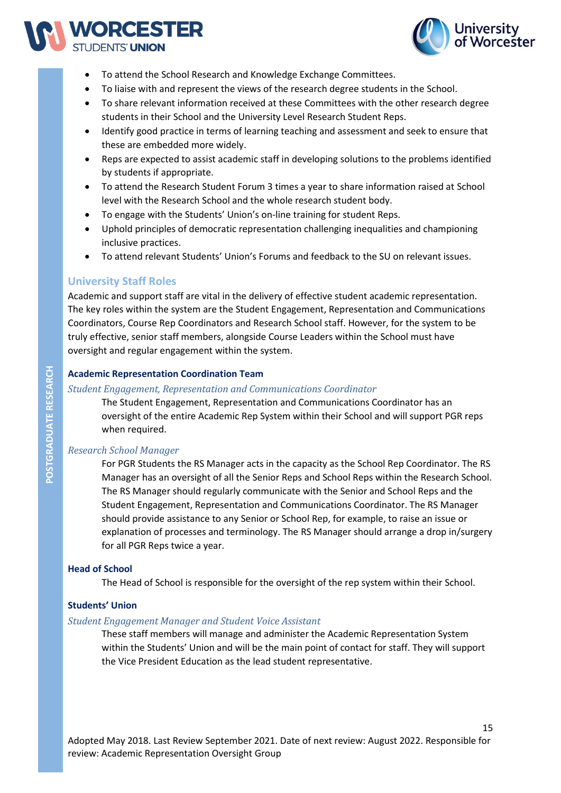



- To attend the School Research and Knowledge Exchange Committees.
- To liaise with and represent the views of the research degree students in the School.
- To share relevant information received at these Committees with the other research degree students in their School and the University Level Research Student Reps.
- Identify good practice in terms of learning teaching and assessment and seek to ensure that these are embedded more widely.
- Reps are expected to assist academic staff in developing solutions to the problems identified by students if appropriate.
- To attend the Research Student Forum 3 times a year to share information raised at School level with the Research School and the whole research student body.
- To engage with the Students' Union's on-line training for student Reps.
- Uphold principles of democratic representation challenging inequalities and championing inclusive practices.
- To attend relevant Students' Union's Forums and feedback to the SU on relevant issues.

# **University Staff Roles**

Academic and support staff are vital in the delivery of effective student academic representation. The key roles within the system are the Student Engagement, Representation and Communications Coordinators, Course Rep Coordinators and Research School staff. However, for the system to be truly effective, senior staff members, alongside Course Leaders within the School must have oversight and regular engagement within the system.

#### **Academic Representation Coordination Team**

#### *Student Engagement, Representation and Communications Coordinator*

The Student Engagement, Representation and Communications Coordinator has an oversight of the entire Academic Rep System within their School and will support PGR reps when required.

#### *Research School Manager*

For PGR Students the RS Manager acts in the capacity as the School Rep Coordinator. The RS Manager has an oversight of all the Senior Reps and School Reps within the Research School. The RS Manager should regularly communicate with the Senior and School Reps and the Student Engagement, Representation and Communications Coordinator. The RS Manager should provide assistance to any Senior or School Rep, for example, to raise an issue or explanation of processes and terminology. The RS Manager should arrange a drop in/surgery for all PGR Reps twice a year.

#### **Head of School**

The Head of School is responsible for the oversight of the rep system within their School.

#### **Students' Union**

#### *Student Engagement Manager and Student Voice Assistant*

These staff members will manage and administer the Academic Representation System within the Students' Union and will be the main point of contact for staff. They will support the Vice President Education as the lead student representative.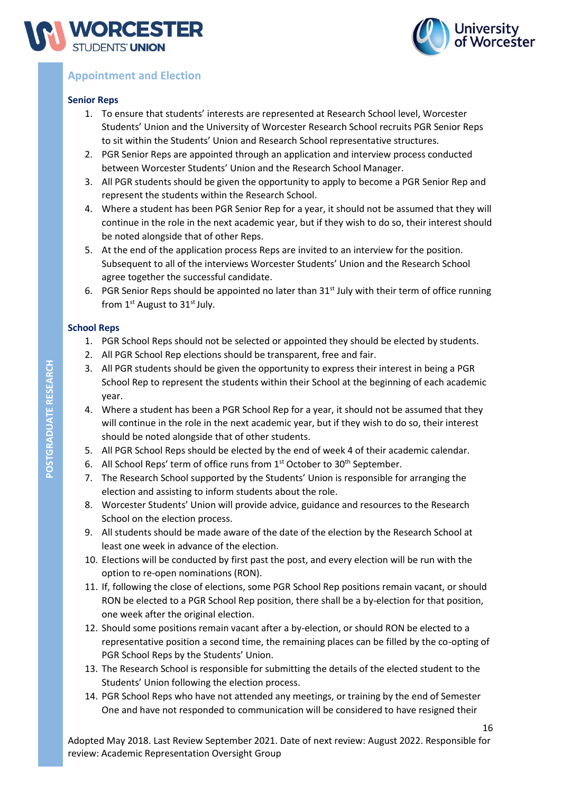



# **Appointment and Election**

#### **Senior Reps**

- 1. To ensure that students' interests are represented at Research School level, Worcester Students' Union and the University of Worcester Research School recruits PGR Senior Reps to sit within the Students' Union and Research School representative structures.
- 2. PGR Senior Reps are appointed through an application and interview process conducted between Worcester Students' Union and the Research School Manager.
- 3. All PGR students should be given the opportunity to apply to become a PGR Senior Rep and represent the students within the Research School.
- 4. Where a student has been PGR Senior Rep for a year, it should not be assumed that they will continue in the role in the next academic year, but if they wish to do so, their interest should be noted alongside that of other Reps.
- 5. At the end of the application process Reps are invited to an interview for the position. Subsequent to all of the interviews Worcester Students' Union and the Research School agree together the successful candidate.
- 6. PGR Senior Reps should be appointed no later than  $31<sup>st</sup>$  July with their term of office running from  $1<sup>st</sup>$  August to  $31<sup>st</sup>$  July.

#### **School Reps**

- 1. PGR School Reps should not be selected or appointed they should be elected by students.
- 2. All PGR School Rep elections should be transparent, free and fair.
- 3. All PGR students should be given the opportunity to express their interest in being a PGR School Rep to represent the students within their School at the beginning of each academic year.
- 4. Where a student has been a PGR School Rep for a year, it should not be assumed that they will continue in the role in the next academic year, but if they wish to do so, their interest should be noted alongside that of other students.
- 5. All PGR School Reps should be elected by the end of week 4 of their academic calendar.
- 6. All School Reps' term of office runs from 1<sup>st</sup> October to 30<sup>th</sup> September.
- 7. The Research School supported by the Students' Union is responsible for arranging the election and assisting to inform students about the role.
- 8. Worcester Students' Union will provide advice, guidance and resources to the Research School on the election process.
- 9. All students should be made aware of the date of the election by the Research School at least one week in advance of the election.
- 10. Elections will be conducted by first past the post, and every election will be run with the option to re-open nominations (RON).
- 11. If, following the close of elections, some PGR School Rep positions remain vacant, or should RON be elected to a PGR School Rep position, there shall be a by-election for that position, one week after the original election.
- 12. Should some positions remain vacant after a by-election, or should RON be elected to a representative position a second time, the remaining places can be filled by the co-opting of PGR School Reps by the Students' Union.
- 13. The Research School is responsible for submitting the details of the elected student to the Students' Union following the election process.
- 14. PGR School Reps who have not attended any meetings, or training by the end of Semester One and have not responded to communication will be considered to have resigned their

Adopted May 2018. Last Review September 2021. Date of next review: August 2022. Responsible for review: Academic Representation Oversight Group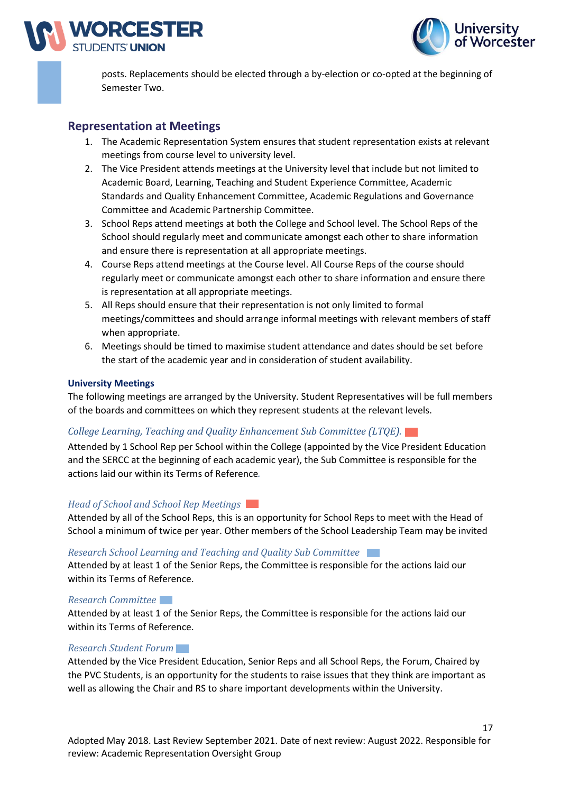



posts. Replacements should be elected through a by-election or co-opted at the beginning of Semester Two.

# **Representation at Meetings**

- 1. The Academic Representation System ensures that student representation exists at relevant meetings from course level to university level.
- 2. The Vice President attends meetings at the University level that include but not limited to Academic Board, Learning, Teaching and Student Experience Committee, Academic Standards and Quality Enhancement Committee, Academic Regulations and Governance Committee and Academic Partnership Committee.
- 3. School Reps attend meetings at both the College and School level. The School Reps of the School should regularly meet and communicate amongst each other to share information and ensure there is representation at all appropriate meetings.
- 4. Course Reps attend meetings at the Course level. All Course Reps of the course should regularly meet or communicate amongst each other to share information and ensure there is representation at all appropriate meetings.
- 5. All Reps should ensure that their representation is not only limited to formal meetings/committees and should arrange informal meetings with relevant members of staff when appropriate.
- 6. Meetings should be timed to maximise student attendance and dates should be set before the start of the academic year and in consideration of student availability.

#### **University Meetings**

The following meetings are arranged by the University. Student Representatives will be full members of the boards and committees on which they represent students at the relevant levels.

#### *College Learning, Teaching and Quality Enhancement Sub Committee (LTQE).*

Attended by 1 School Rep per School within the College (appointed by the Vice President Education and the SERCC at the beginning of each academic year), the Sub Committee is responsible for the actions laid our within its Terms of Reference*.*

#### *Head of School and School Rep Meetings*

Attended by all of the School Reps, this is an opportunity for School Reps to meet with the Head of School a minimum of twice per year. Other members of the School Leadership Team may be invited

#### *Research School Learning and Teaching and Quality Sub Committee*

Attended by at least 1 of the Senior Reps, the Committee is responsible for the actions laid our within its Terms of Reference.

#### *Research Committee*

Attended by at least 1 of the Senior Reps, the Committee is responsible for the actions laid our within its Terms of Reference.

#### *Research Student Forum*

Attended by the Vice President Education, Senior Reps and all School Reps, the Forum, Chaired by the PVC Students, is an opportunity for the students to raise issues that they think are important as well as allowing the Chair and RS to share important developments within the University.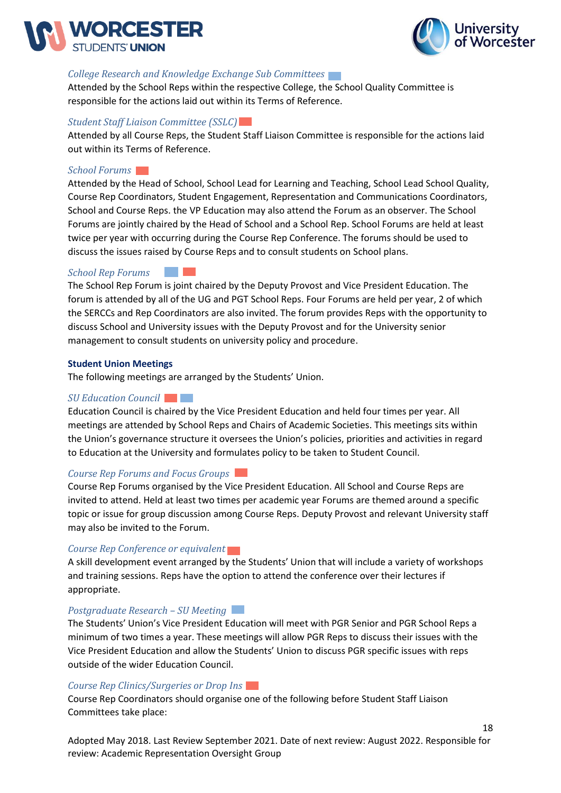



#### *College Research and Knowledge Exchange Sub Committees*

Attended by the School Reps within the respective College, the School Quality Committee is responsible for the actions laid out within its Terms of Reference.

#### *Student Staff Liaison Committee (SSLC)*

Attended by all Course Reps, the Student Staff Liaison Committee is responsible for the actions laid out within its Terms of Reference.

#### *School Forums*

Attended by the Head of School, School Lead for Learning and Teaching, School Lead School Quality, Course Rep Coordinators, Student Engagement, Representation and Communications Coordinators, School and Course Reps. the VP Education may also attend the Forum as an observer. The School Forums are jointly chaired by the Head of School and a School Rep. School Forums are held at least twice per year with occurring during the Course Rep Conference. The forums should be used to discuss the issues raised by Course Reps and to consult students on School plans.

#### *School Rep Forums* l

The School Rep Forum is joint chaired by the Deputy Provost and Vice President Education. The forum is attended by all of the UG and PGT School Reps. Four Forums are held per year, 2 of which athe SERCCs and Rep Coordinators are also invited. The forum provides Reps with the opportunity to discuss School and University issues with the Deputy Provost and for the University senior management to consult students on university policy and procedure. ں<br>۔

#### **Student Union Meetings**

The following meetings are arranged by the Students' Union.

#### *SU Education Council*

Education Council is chaired by the Vice President Education and held four times per year. All meetings are attended by School Reps and Chairs of Academic Societies. This meetings sits within the Union's governance structure it oversees the Union's policies, priorities and activities in regard to Education at the University and formulates policy to be taken to Student Council.

# *Course Rep Forums and Focus Groups*

Course Rep Forums organised by the Vice President Education. All School and Course Reps are invited to attend. Held at least two times per academic year Forums are themed around a specific topic or issue for group discussion among Course Reps. Deputy Provost and relevant University staff may also be invited to the Forum.

#### *Course Rep Conference or equivalent*

A skill development event arranged by the Students' Union that will include a variety of workshops and training sessions. Reps have the option to attend the conference over their lectures if appropriate.

#### *Postgraduate Research – SU Meeting*

The Students' Union's Vice President Education will meet with PGR Senior and PGR School Reps a minimum of two times a year. These meetings will allow PGR Reps to discuss their issues with the Vice President Education and allow the Students' Union to discuss PGR specific issues with reps outside of the wider Education Council.

#### *Course Rep Clinics/Surgeries or Drop Ins*

Course Rep Coordinators should organise one of the following before Student Staff Liaison Committees take place:

Adopted May 2018. Last Review September 2021. Date of next review: August 2022. Responsible for review: Academic Representation Oversight Group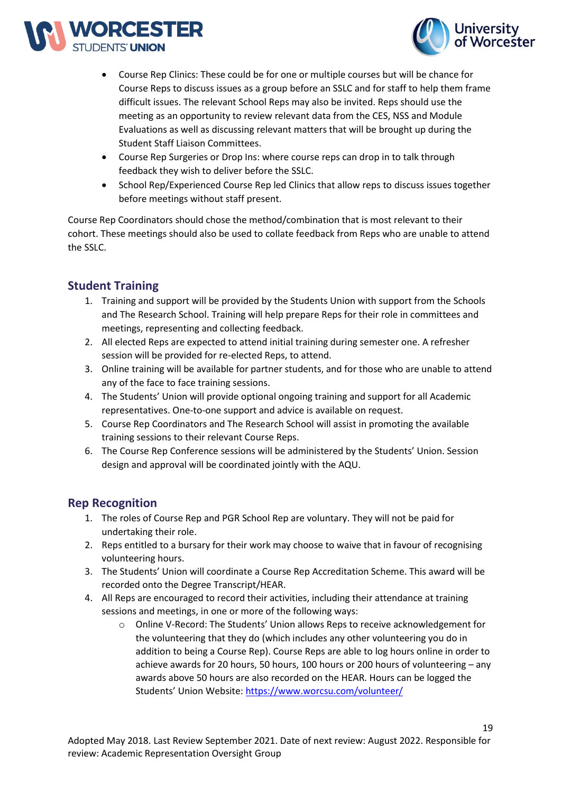



- Course Rep Clinics: These could be for one or multiple courses but will be chance for Course Reps to discuss issues as a group before an SSLC and for staff to help them frame difficult issues. The relevant School Reps may also be invited. Reps should use the meeting as an opportunity to review relevant data from the CES, NSS and Module Evaluations as well as discussing relevant matters that will be brought up during the Student Staff Liaison Committees.
- Course Rep Surgeries or Drop Ins: where course reps can drop in to talk through feedback they wish to deliver before the SSLC.
- School Rep/Experienced Course Rep led Clinics that allow reps to discuss issues together before meetings without staff present.

Course Rep Coordinators should chose the method/combination that is most relevant to their cohort. These meetings should also be used to collate feedback from Reps who are unable to attend the SSLC.

# **Student Training**

- 1. Training and support will be provided by the Students Union with support from the Schools and The Research School. Training will help prepare Reps for their role in committees and meetings, representing and collecting feedback.
- 2. All elected Reps are expected to attend initial training during semester one. A refresher session will be provided for re-elected Reps, to attend.
- 3. Online training will be available for partner students, and for those who are unable to attend any of the face to face training sessions.
- 4. The Students' Union will provide optional ongoing training and support for all Academic representatives. One-to-one support and advice is available on request.
- 5. Course Rep Coordinators and The Research School will assist in promoting the available training sessions to their relevant Course Reps.
- 6. The Course Rep Conference sessions will be administered by the Students' Union. Session design and approval will be coordinated jointly with the AQU.

# **Rep Recognition**

- 1. The roles of Course Rep and PGR School Rep are voluntary. They will not be paid for undertaking their role.
- 2. Reps entitled to a bursary for their work may choose to waive that in favour of recognising volunteering hours.
- 3. The Students' Union will coordinate a Course Rep Accreditation Scheme. This award will be recorded onto the Degree Transcript/HEAR.
- 4. All Reps are encouraged to record their activities, including their attendance at training sessions and meetings, in one or more of the following ways:
	- o Online V-Record: The Students' Union allows Reps to receive acknowledgement for the volunteering that they do (which includes any other volunteering you do in addition to being a Course Rep). Course Reps are able to log hours online in order to achieve awards for 20 hours, 50 hours, 100 hours or 200 hours of volunteering – any awards above 50 hours are also recorded on the HEAR. Hours can be logged the Students' Union Website: <https://www.worcsu.com/volunteer/>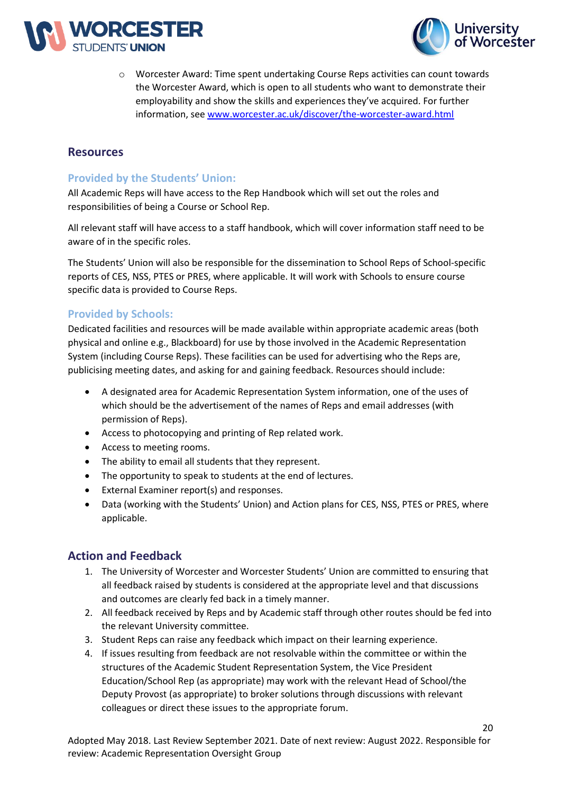



o Worcester Award: Time spent undertaking Course Reps activities can count towards the Worcester Award, which is open to all students who want to demonstrate their employability and show the skills and experiences they've acquired. For further information, see [www.worcester.ac.uk/discover/the-worcester-award.html](http://www.worcester.ac.uk/discover/the-worcester-award.html)

# **Resources**

# **Provided by the Students' Union:**

All Academic Reps will have access to the Rep Handbook which will set out the roles and responsibilities of being a Course or School Rep.

All relevant staff will have access to a staff handbook, which will cover information staff need to be aware of in the specific roles.

The Students' Union will also be responsible for the dissemination to School Reps of School-specific reports of CES, NSS, PTES or PRES, where applicable. It will work with Schools to ensure course specific data is provided to Course Reps.

# **Provided by Schools:**

Dedicated facilities and resources will be made available within appropriate academic areas (both physical and online e.g., Blackboard) for use by those involved in the Academic Representation System (including Course Reps). These facilities can be used for advertising who the Reps are, publicising meeting dates, and asking for and gaining feedback. Resources should include:

- A designated area for Academic Representation System information, one of the uses of which should be the advertisement of the names of Reps and email addresses (with permission of Reps).
- Access to photocopying and printing of Rep related work.
- Access to meeting rooms.
- The ability to email all students that they represent.
- The opportunity to speak to students at the end of lectures.
- External Examiner report(s) and responses.
- Data (working with the Students' Union) and Action plans for CES, NSS, PTES or PRES, where applicable.

# **Action and Feedback**

- 1. The University of Worcester and Worcester Students' Union are committed to ensuring that all feedback raised by students is considered at the appropriate level and that discussions and outcomes are clearly fed back in a timely manner.
- 2. All feedback received by Reps and by Academic staff through other routes should be fed into the relevant University committee.
- 3. Student Reps can raise any feedback which impact on their learning experience.
- 4. If issues resulting from feedback are not resolvable within the committee or within the structures of the Academic Student Representation System, the Vice President Education/School Rep (as appropriate) may work with the relevant Head of School/the Deputy Provost (as appropriate) to broker solutions through discussions with relevant colleagues or direct these issues to the appropriate forum.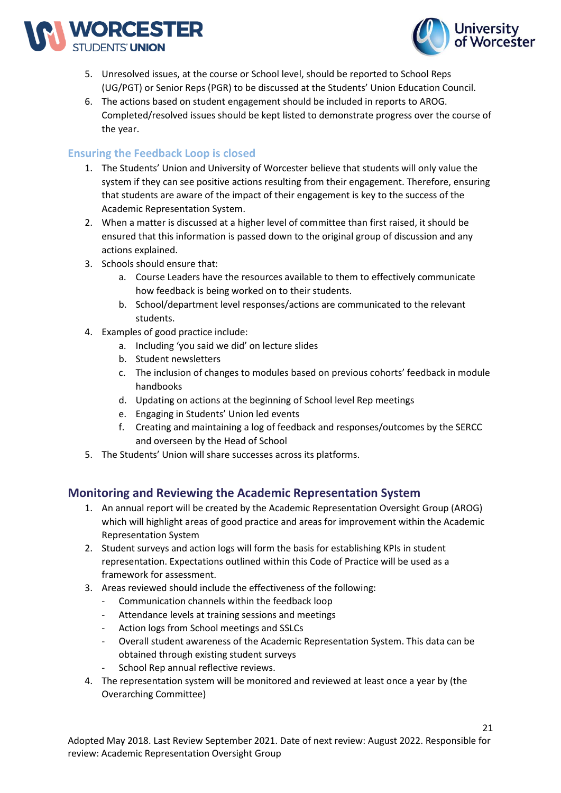



- 5. Unresolved issues, at the course or School level, should be reported to School Reps (UG/PGT) or Senior Reps (PGR) to be discussed at the Students' Union Education Council.
- 6. The actions based on student engagement should be included in reports to AROG. Completed/resolved issues should be kept listed to demonstrate progress over the course of the year.

# **Ensuring the Feedback Loop is closed**

- 1. The Students' Union and University of Worcester believe that students will only value the system if they can see positive actions resulting from their engagement. Therefore, ensuring that students are aware of the impact of their engagement is key to the success of the Academic Representation System.
- 2. When a matter is discussed at a higher level of committee than first raised, it should be ensured that this information is passed down to the original group of discussion and any actions explained.
- 3. Schools should ensure that:
	- a. Course Leaders have the resources available to them to effectively communicate how feedback is being worked on to their students.
	- b. School/department level responses/actions are communicated to the relevant students.
- 4. Examples of good practice include:
	- a. Including 'you said we did' on lecture slides
	- b. Student newsletters
	- c. The inclusion of changes to modules based on previous cohorts' feedback in module handbooks
	- d. Updating on actions at the beginning of School level Rep meetings
	- e. Engaging in Students' Union led events
	- f. Creating and maintaining a log of feedback and responses/outcomes by the SERCC and overseen by the Head of School
- 5. The Students' Union will share successes across its platforms.

# **Monitoring and Reviewing the Academic Representation System**

- 1. An annual report will be created by the Academic Representation Oversight Group (AROG) which will highlight areas of good practice and areas for improvement within the Academic Representation System
- 2. Student surveys and action logs will form the basis for establishing KPIs in student representation. Expectations outlined within this Code of Practice will be used as a framework for assessment.
- 3. Areas reviewed should include the effectiveness of the following:
	- Communication channels within the feedback loop
	- Attendance levels at training sessions and meetings
	- Action logs from School meetings and SSLCs
	- Overall student awareness of the Academic Representation System. This data can be obtained through existing student surveys
	- School Rep annual reflective reviews.
- 4. The representation system will be monitored and reviewed at least once a year by (the Overarching Committee)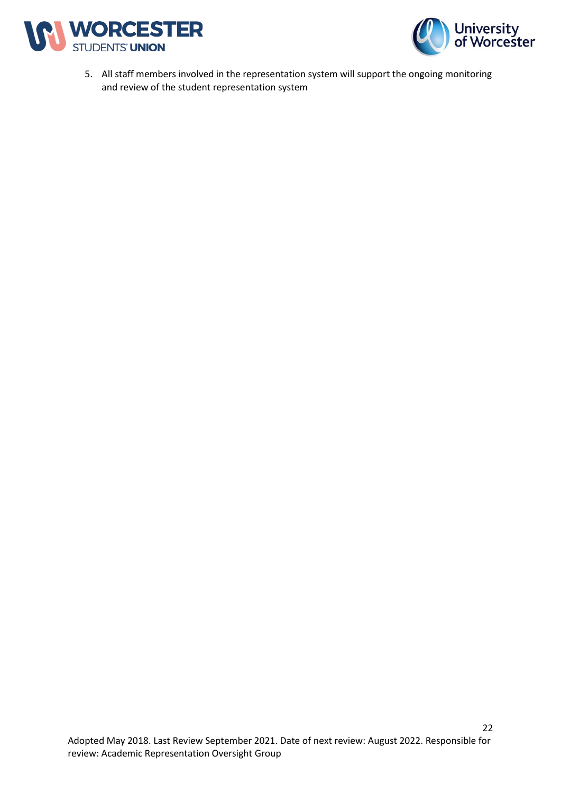



5. All staff members involved in the representation system will support the ongoing monitoring and review of the student representation system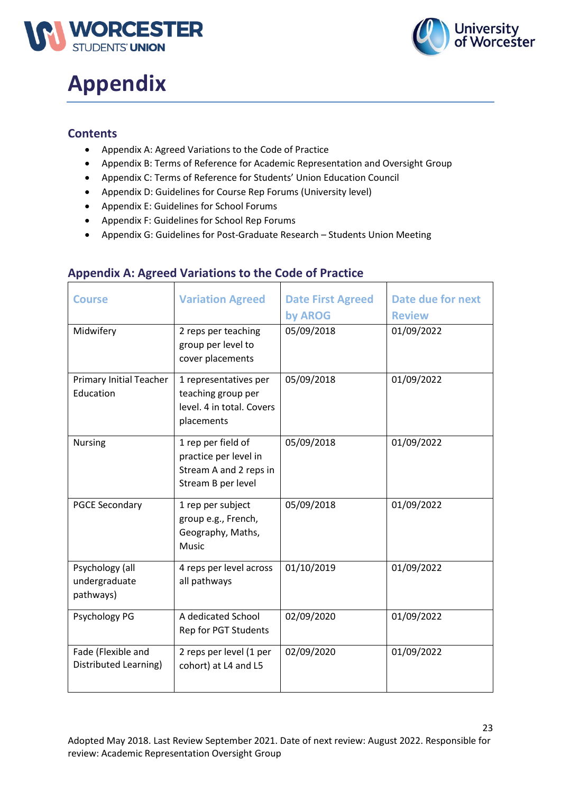



# **Appendix**

# **Contents**

- Appendix A: Agreed Variations to the Code of Practice
- Appendix B: Terms of Reference for Academic Representation and Oversight Group
- Appendix C: Terms of Reference for Students' Union Education Council
- Appendix D: Guidelines for Course Rep Forums (University level)
- Appendix E: Guidelines for School Forums
- Appendix F: Guidelines for School Rep Forums
- Appendix G: Guidelines for Post-Graduate Research Students Union Meeting

| <b>Course</b>                                 | <b>Variation Agreed</b>                                                                     | <b>Date First Agreed</b><br>by AROG | <b>Date due for next</b><br><b>Review</b> |
|-----------------------------------------------|---------------------------------------------------------------------------------------------|-------------------------------------|-------------------------------------------|
| Midwifery                                     | 2 reps per teaching<br>group per level to<br>cover placements                               | 05/09/2018                          | 01/09/2022                                |
| <b>Primary Initial Teacher</b><br>Education   | 1 representatives per<br>teaching group per<br>level. 4 in total. Covers<br>placements      | 05/09/2018                          | 01/09/2022                                |
| <b>Nursing</b>                                | 1 rep per field of<br>practice per level in<br>Stream A and 2 reps in<br>Stream B per level | 05/09/2018                          | 01/09/2022                                |
| <b>PGCE Secondary</b>                         | 1 rep per subject<br>group e.g., French,<br>Geography, Maths,<br><b>Music</b>               | 05/09/2018                          | 01/09/2022                                |
| Psychology (all<br>undergraduate<br>pathways) | 4 reps per level across<br>all pathways                                                     | 01/10/2019                          | 01/09/2022                                |
| Psychology PG                                 | A dedicated School<br>Rep for PGT Students                                                  | 02/09/2020                          | 01/09/2022                                |
| Fade (Flexible and<br>Distributed Learning)   | 2 reps per level (1 per<br>cohort) at L4 and L5                                             | 02/09/2020                          | 01/09/2022                                |

# **Appendix A: Agreed Variations to the Code of Practice**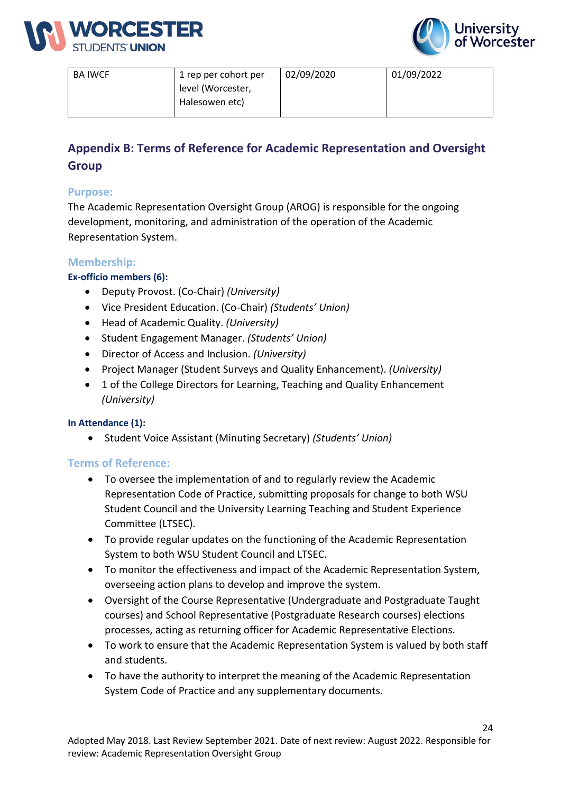



| <b>BA IWCF</b> | 1 rep per cohort per | 02/09/2020 | 01/09/2022 |
|----------------|----------------------|------------|------------|
|                | level (Worcester,    |            |            |
|                | Halesowen etc)       |            |            |
|                |                      |            |            |

# **Appendix B: Terms of Reference for Academic Representation and Oversight Group**

# **Purpose:**

The Academic Representation Oversight Group (AROG) is responsible for the ongoing development, monitoring, and administration of the operation of the Academic Representation System.

# **Membership:**

# **Ex-officio members (6):**

- Deputy Provost. (Co-Chair) *(University)*
- Vice President Education. (Co-Chair) *(Students' Union)*
- Head of Academic Quality. *(University)*
- Student Engagement Manager. *(Students' Union)*
- Director of Access and Inclusion. *(University)*
- Project Manager (Student Surveys and Quality Enhancement). *(University)*
- 1 of the College Directors for Learning, Teaching and Quality Enhancement *(University)*

# **In Attendance (1):**

• Student Voice Assistant (Minuting Secretary) *(Students' Union)*

# **Terms of Reference:**

- To oversee the implementation of and to regularly review the Academic Representation Code of Practice, submitting proposals for change to both WSU Student Council and the University Learning Teaching and Student Experience Committee (LTSEC).
- To provide regular updates on the functioning of the Academic Representation System to both WSU Student Council and LTSEC.
- To monitor the effectiveness and impact of the Academic Representation System, overseeing action plans to develop and improve the system.
- Oversight of the Course Representative (Undergraduate and Postgraduate Taught courses) and School Representative (Postgraduate Research courses) elections processes, acting as returning officer for Academic Representative Elections.
- To work to ensure that the Academic Representation System is valued by both staff and students.
- To have the authority to interpret the meaning of the Academic Representation System Code of Practice and any supplementary documents.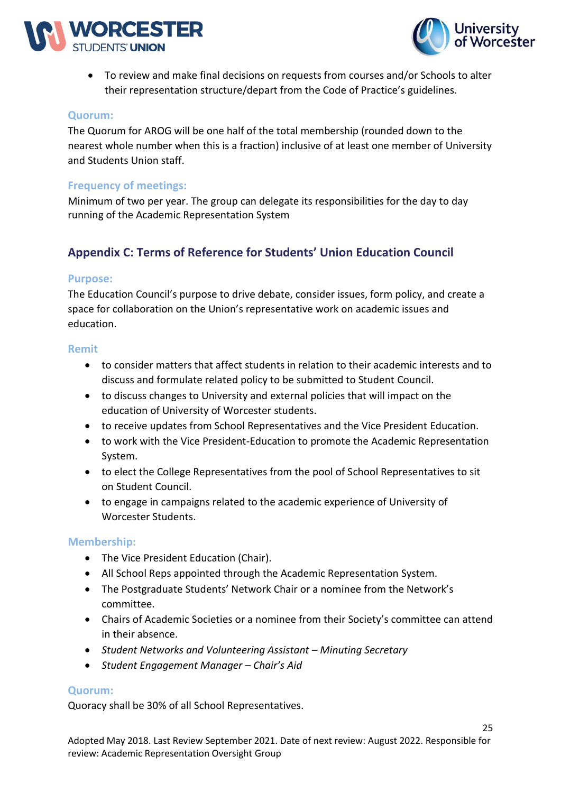



• To review and make final decisions on requests from courses and/or Schools to alter their representation structure/depart from the Code of Practice's guidelines.

#### **Quorum:**

The Quorum for AROG will be one half of the total membership (rounded down to the nearest whole number when this is a fraction) inclusive of at least one member of University and Students Union staff.

# **Frequency of meetings:**

Minimum of two per year. The group can delegate its responsibilities for the day to day running of the Academic Representation System

# **Appendix C: Terms of Reference for Students' Union Education Council**

#### **Purpose:**

The Education Council's purpose to drive debate, consider issues, form policy, and create a space for collaboration on the Union's representative work on academic issues and education.

#### **Remit**

- to consider matters that affect students in relation to their academic interests and to discuss and formulate related policy to be submitted to Student Council.
- to discuss changes to University and external policies that will impact on the education of University of Worcester students.
- to receive updates from School Representatives and the Vice President Education.
- to work with the Vice President-Education to promote the Academic Representation System.
- to elect the College Representatives from the pool of School Representatives to sit on Student Council.
- to engage in campaigns related to the academic experience of University of Worcester Students.

# **Membership:**

- The Vice President Education (Chair).
- All School Reps appointed through the Academic Representation System.
- The Postgraduate Students' Network Chair or a nominee from the Network's committee.
- Chairs of Academic Societies or a nominee from their Society's committee can attend in their absence.
- Student Networks and Volunteering Assistant Minuting Secretary
- *Student Engagement Manager – Chair's Aid*

#### **Quorum:**

Quoracy shall be 30% of all School Representatives.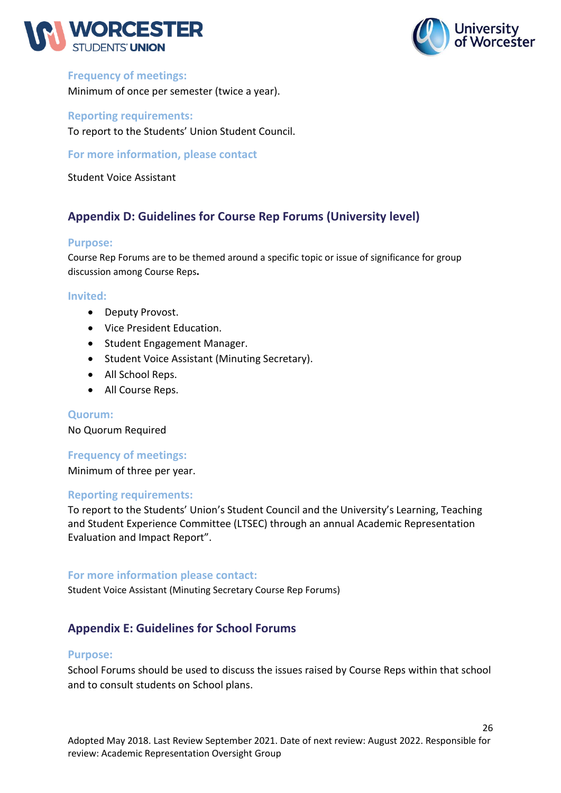



# **Frequency of meetings:**

Minimum of once per semester (twice a year).

**Reporting requirements:** 

To report to the Students' Union Student Council.

**For more information, please contact**

Student Voice Assistant

# **Appendix D: Guidelines for Course Rep Forums (University level)**

#### **Purpose:**

Course Rep Forums are to be themed around a specific topic or issue of significance for group discussion among Course Reps**.**

#### **Invited:**

- Deputy Provost.
- Vice President Education.
- Student Engagement Manager.
- Student Voice Assistant (Minuting Secretary).
- All School Reps.
- All Course Reps.

#### **Quorum:**

No Quorum Required

# **Frequency of meetings:**

Minimum of three per year.

# **Reporting requirements:**

To report to the Students' Union's Student Council and the University's Learning, Teaching and Student Experience Committee (LTSEC) through an annual Academic Representation Evaluation and Impact Report".

# **For more information please contact:**

Student Voice Assistant (Minuting Secretary Course Rep Forums)

# **Appendix E: Guidelines for School Forums**

#### **Purpose:**

School Forums should be used to discuss the issues raised by Course Reps within that school and to consult students on School plans.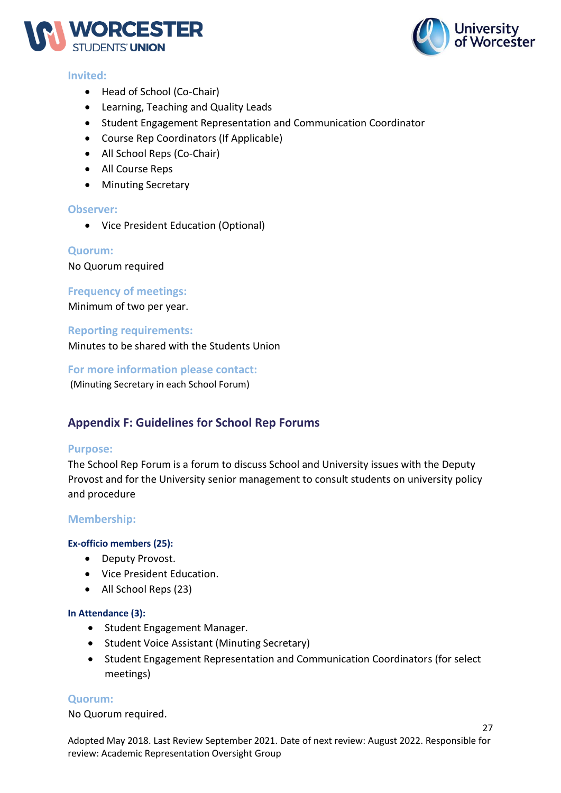

# **Invited:**

- Head of School (Co-Chair)
- Learning, Teaching and Quality Leads
- Student Engagement Representation and Communication Coordinator
- Course Rep Coordinators (If Applicable)
- All School Reps (Co-Chair)
- All Course Reps
- Minuting Secretary

# **Observer:**

• Vice President Education (Optional)

#### **Quorum:**

No Quorum required

# **Frequency of meetings:**

Minimum of two per year.

#### **Reporting requirements:**

Minutes to be shared with the Students Union

**For more information please contact:**

(Minuting Secretary in each School Forum)

# **Appendix F: Guidelines for School Rep Forums**

#### **Purpose:**

The School Rep Forum is a forum to discuss School and University issues with the Deputy Provost and for the University senior management to consult students on university policy and procedure

# **Membership:**

# **Ex-officio members (25):**

- Deputy Provost.
- Vice President Education.
- All School Reps (23)

#### **In Attendance (3):**

- Student Engagement Manager.
- Student Voice Assistant (Minuting Secretary)
- Student Engagement Representation and Communication Coordinators (for select meetings)

# **Quorum:**

No Quorum required.

Adopted May 2018. Last Review September 2021. Date of next review: August 2022. Responsible for review: Academic Representation Oversight Group



27